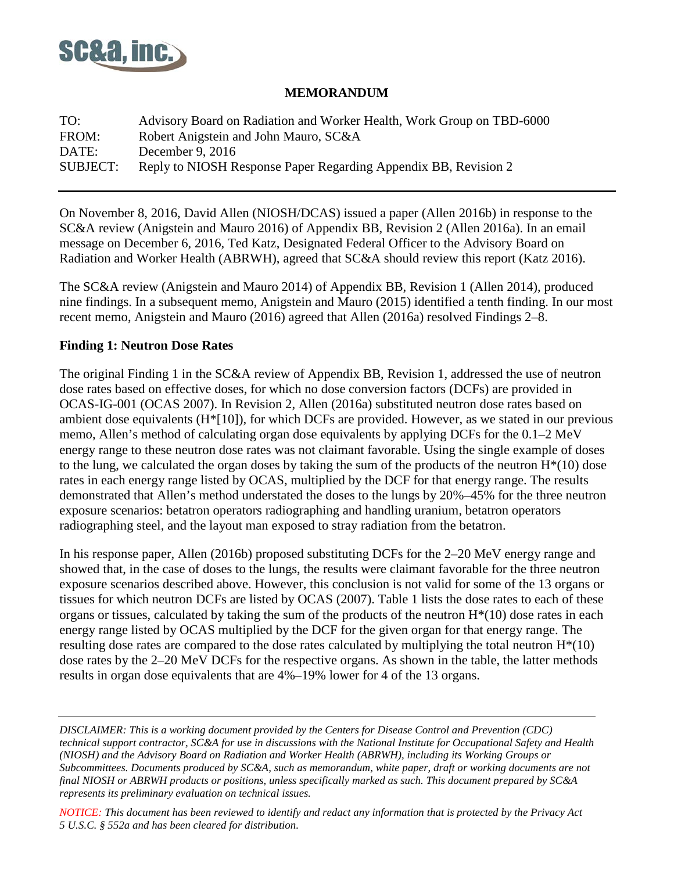

### **MEMORANDUM**

| TO:             | Advisory Board on Radiation and Worker Health, Work Group on TBD-6000 |
|-----------------|-----------------------------------------------------------------------|
| FROM:           | Robert Anigstein and John Mauro, SC&A                                 |
| DATE:           | December 9, $2016$                                                    |
| <b>SUBJECT:</b> | Reply to NIOSH Response Paper Regarding Appendix BB, Revision 2       |

On November 8, 2016, David Allen (NIOSH/DCAS) issued a paper (Allen 2016b) in response to the SC&A review (Anigstein and Mauro 2016) of Appendix BB, Revision 2 (Allen 2016a). In an email message on December 6, 2016, Ted Katz, Designated Federal Officer to the Advisory Board on Radiation and Worker Health (ABRWH), agreed that SC&A should review this report (Katz 2016).

The SC&A review (Anigstein and Mauro 2014) of Appendix BB, Revision 1 (Allen 2014), produced nine findings. In a subsequent memo, Anigstein and Mauro (2015) identified a tenth finding. In our most recent memo, Anigstein and Mauro (2016) agreed that Allen (2016a) resolved Findings 2–8.

### **Finding 1: Neutron Dose Rates**

The original Finding 1 in the SC&A review of Appendix BB, Revision 1, addressed the use of neutron dose rates based on effective doses, for which no dose conversion factors (DCFs) are provided in OCAS-IG-001 (OCAS 2007). In Revision 2, Allen (2016a) substituted neutron dose rates based on ambient dose equivalents (H\*[10]), for which DCFs are provided. However, as we stated in our previous memo, Allen's method of calculating organ dose equivalents by applying DCFs for the 0.1–2 MeV energy range to these neutron dose rates was not claimant favorable. Using the single example of doses to the lung, we calculated the organ doses by taking the sum of the products of the neutron  $H^*(10)$  dose rates in each energy range listed by OCAS, multiplied by the DCF for that energy range. The results demonstrated that Allen's method understated the doses to the lungs by 20%–45% for the three neutron exposure scenarios: betatron operators radiographing and handling uranium, betatron operators radiographing steel, and the layout man exposed to stray radiation from the betatron.

In his response paper, Allen (2016b) proposed substituting DCFs for the 2–20 MeV energy range and showed that, in the case of doses to the lungs, the results were claimant favorable for the three neutron exposure scenarios described above. However, this conclusion is not valid for some of the 13 organs or tissues for which neutron DCFs are listed by OCAS (2007). Table 1 lists the dose rates to each of these organs or tissues, calculated by taking the sum of the products of the neutron  $H^*(10)$  dose rates in each energy range listed by OCAS multiplied by the DCF for the given organ for that energy range. The resulting dose rates are compared to the dose rates calculated by multiplying the total neutron H\*(10) dose rates by the 2–20 MeV DCFs for the respective organs. As shown in the table, the latter methods results in organ dose equivalents that are 4%–19% lower for 4 of the 13 organs.

*DISCLAIMER: This is a working document provided by the Centers for Disease Control and Prevention (CDC) technical support contractor, SC&A for use in discussions with the National Institute for Occupational Safety and Health (NIOSH) and the Advisory Board on Radiation and Worker Health (ABRWH), including its Working Groups or Subcommittees. Documents produced by SC&A, such as memorandum, white paper, draft or working documents are not final NIOSH or ABRWH products or positions, unless specifically marked as such. This document prepared by SC&A represents its preliminary evaluation on technical issues.* 

*NOTICE: This document has been reviewed to identify and redact any information that is protected by the Privacy Act 5 U.S.C. § 552a and has been cleared for distribution.*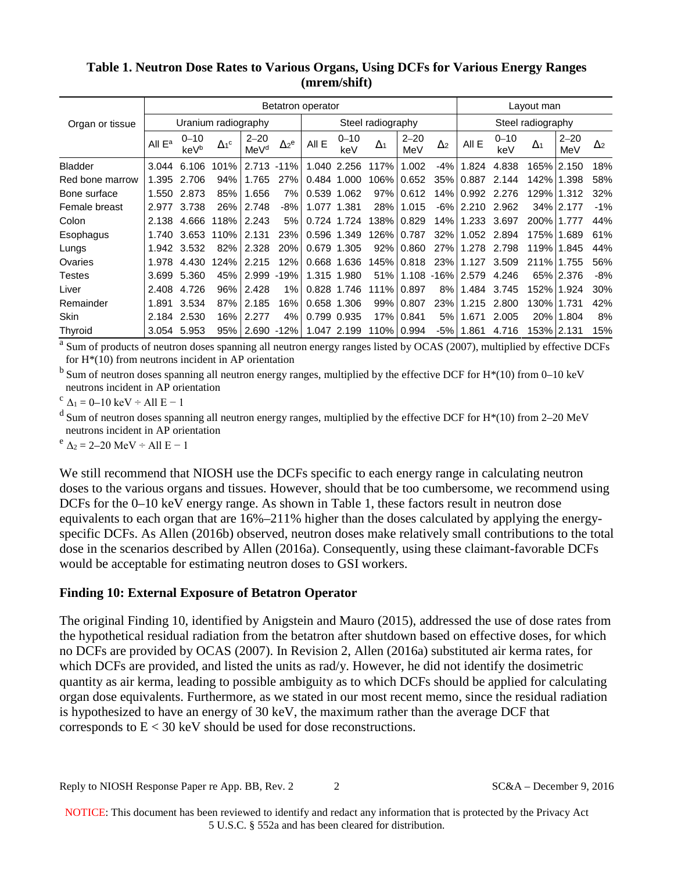|                 | Betatron operator   |                  |                         |                              |                         |             |                 |            |                 |                       | Layout man       |                 |            |                 |                       |
|-----------------|---------------------|------------------|-------------------------|------------------------------|-------------------------|-------------|-----------------|------------|-----------------|-----------------------|------------------|-----------------|------------|-----------------|-----------------------|
| Organ or tissue | Uranium radiography |                  |                         |                              | Steel radiography       |             |                 |            |                 | Steel radiography     |                  |                 |            |                 |                       |
|                 | All $E^a$           | $0 - 10$<br>keVb | $\Delta_1$ <sup>c</sup> | $2 - 20$<br>MeV <sup>d</sup> | $\Delta_2$ <sup>e</sup> | All E       | $0 - 10$<br>keV | $\Delta_1$ | $2 - 20$<br>MeV | $\Delta$ <sub>2</sub> | All E            | $0 - 10$<br>keV | $\Delta_1$ | $2 - 20$<br>MeV | $\Delta$ <sub>2</sub> |
| <b>Bladder</b>  | 3.044               | 6.106            | 101%                    | 2.713                        | $-11%$                  |             | 1.040 2.256     | 117%       | 1.002           | -4%                   | 1.824            | 4.838           |            | 165% 2.150      | 18%                   |
| Red bone marrow | 1.395               | 2.706            | 94%                     | 1.765                        | 27%                     |             | 0.484 1.000     | 106%       | 0.652           | 35%                   | 0.887            | 2.144           |            | 142% 1.398      | 58%                   |
| Bone surface    | 1.550               | 2.873            | 85%                     | 1.656                        | 7%                      |             | 0.539 1.062     | 97%        | 0.612           | 14%                   | 0.992            | 2.276           |            | 129%   1.312    | 32%                   |
| Female breast   | 2.977               | 3.738            | 26%                     | 2.748                        | -8%                     | 1.077 1.381 |                 | 28%        | 1.015           | $-6\%$                | 2.210            | 2.962           |            | 34% 2.177       | $-1%$                 |
| Colon           | 2.138               | 4.666            | 118%                    | 2.243                        | 5%                      |             | 0.724 1.724     |            | 138% 0.829      | 14%                   | 1.233            | 3.697           | 200% 1.777 |                 | 44%                   |
| Esophagus       | 1.740               | 3.653            | 110%                    | 2.131                        | 23%                     |             | 0.596 1.349     |            | 126% 0.787      | 32%                   | 1.052 2.894      |                 |            | 175% 1.689      | 61%                   |
| Lungs           | 1.942               | 3.532            | 82%                     | 2.328                        | 20%                     | 0.679 1.305 |                 |            | 92% 0.860       | 27%                   | 1.278            | 2.798           |            | 119% 1.845      | 44%                   |
| Ovaries         | 1.978               | 4.430            | 124%                    | 2.215                        | 12%                     |             | 0.668 1.636     |            | 145% 0.818      | 23%                   | 1.127            | 3.509           |            | 211% 1.755      | 56%                   |
| Testes          | 3.699               | 5.360            | 45%                     | 2.999                        | $-19%$                  | 1.315 1.980 |                 | 51%        |                 |                       | 1.108 -16% 2.579 | 4.246           |            | 65% 2.376       | -8%                   |
| Liver           | 2.408               | 4.726            | 96%                     | 2.428                        | 1%                      |             | 0.828 1.746     | 111% 0.897 |                 | 8%                    | 1.484            | 3.745           |            | 152% 1.924      | 30%                   |
| Remainder       | 1.891               | 3.534            | 87%                     | 2.185                        | 16%                     | 0.658 1.306 |                 |            | 99% 0.807       | 23%                   | 1.215            | 2.800           |            | 130%   1.731    | 42%                   |
| <b>Skin</b>     | 2.184               | 2.530            | 16%                     | 2.277                        | 4%                      | 0.799 0.935 |                 |            | 17% 0.841       | 5%                    | 1.671            | 2.005           |            | 20% 1.804       | 8%                    |
| Thyroid         | 3.054               | 5.953            | 95%                     | 2.690                        | $-12%$                  |             | 1.047 2.199     |            | 110% 0.994      | -5%                   | 1.861            | 4.716           |            | 153%   2.131    | 15%                   |

## **Table 1. Neutron Dose Rates to Various Organs, Using DCFs for Various Energy Ranges (mrem/shift)**

<sup>a</sup> Sum of products of neutron doses spanning all neutron energy ranges listed by OCAS (2007), multiplied by effective DCFs for  $H<sup>*</sup>(10)$  from neutrons incident in AP orientation

 $<sup>b</sup>$  Sum of neutron doses spanning all neutron energy ranges, multiplied by the effective DCF for H<sup>\*</sup>(10) from 0–10 keV</sup> neutrons incident in AP orientation

 $c \Delta_1 = 0$ –10 keV ÷ All E – 1

<sup>d</sup> Sum of neutron doses spanning all neutron energy ranges, multiplied by the effective DCF for  $H^*(10)$  from 2–20 MeV neutrons incident in AP orientation

 $e^{e}$   $\Delta_2 = 2 - 20$  MeV ÷ All E – 1

We still recommend that NIOSH use the DCFs specific to each energy range in calculating neutron doses to the various organs and tissues. However, should that be too cumbersome, we recommend using DCFs for the 0–10 keV energy range. As shown in Table 1, these factors result in neutron dose equivalents to each organ that are 16%–211% higher than the doses calculated by applying the energyspecific DCFs. As Allen (2016b) observed, neutron doses make relatively small contributions to the total dose in the scenarios described by Allen (2016a). Consequently, using these claimant-favorable DCFs would be acceptable for estimating neutron doses to GSI workers.

### **Finding 10: External Exposure of Betatron Operator**

The original Finding 10, identified by Anigstein and Mauro (2015), addressed the use of dose rates from the hypothetical residual radiation from the betatron after shutdown based on effective doses, for which no DCFs are provided by OCAS (2007). In Revision 2, Allen (2016a) substituted air kerma rates, for which DCFs are provided, and listed the units as rad/y. However, he did not identify the dosimetric quantity as air kerma, leading to possible ambiguity as to which DCFs should be applied for calculating organ dose equivalents. Furthermore, as we stated in our most recent memo, since the residual radiation is hypothesized to have an energy of 30 keV, the maximum rather than the average DCF that corresponds to E < 30 keV should be used for dose reconstructions.